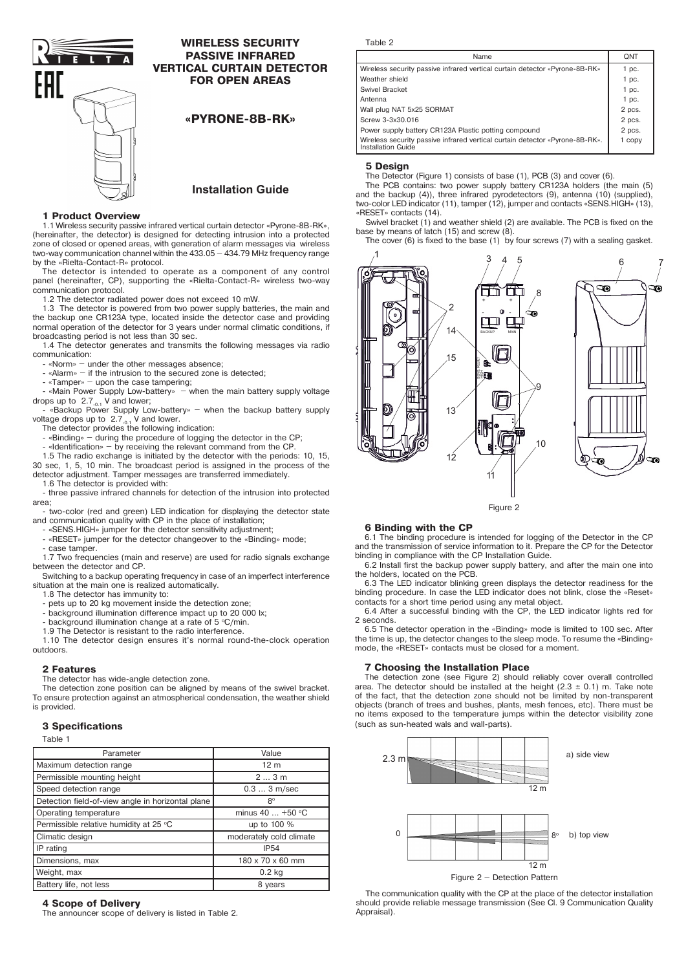

# **WIRELESS SECURITY PASSIVE INFRARED VERTICAL CURTAIN DETECTOR FOR OPEN AREAS**

**«PYRONE-8B-RK»**

# **Installation Guide**

# **1 Product Overview**

1.1 Wireless security passive infrared vertical curtain detector «Pyrone-8B-RK», (hereinafter, the detector) is designed for detecting intrusion into a protected zone of closed or opened areas, with generation of alarm messages via wireless two-way communication channel within the 433.05 – 434.79 MHz frequency range by the «Rielta-Contact-R» protocol.

The detector is intended to operate as a component of any control panel (hereinafter, CP), supporting the «Rielta-Contact-R» wireless two-way communication protocol.

1.2 The detector radiated power does not exceed 10 mW.

1.3 The detector is powered from two power supply batteries, the main and the backup one СR123A type, located inside the detector case and providing normal operation of the detector for 3 years under normal climatic conditions, if broadcasting period is not less than 30 sec.

1.4 The detector generates and transmits the following messages via radio communication:

- «Norm» – under the other messages absence;

- «Alarm» – if the intrusion to the secured zone is detected;

- «Tamper» – upon the case tampering;

«Main Power Supply Low-battery» – when the main battery supply voltage drops up to 2.7<sub>-0.1</sub> V and lower;<br>Fackup Power Supply Low-battery» – when the backup battery supply

voltage drops up to  $2.7_{.0.1}$  V and lower.<br>The detector provides the following indication:

- «Binding» – during the procedure of logging the detector in the CP;

- «Identification» – by receiving the relevant command from the CP.

1.5 The radio exchange is initiated by the detector with the periods: 10, 15, 30 sec, 1, 5, 10 min. The broadcast period is assigned in the process of the detector adjustment. Tamper messages are transferred immediately.

1.6 The detector is provided with:

- three passive infrared channels for detection of the intrusion into protected area;

- two-color (red and green) LED indication for displaying the detector state and communication quality with CP in the place of installation;

«SENS.HIGH» jumper for the detector sensitivity adjustment;

«RESET» jumper for the detector changeover to the «Binding» mode;

case tamper.

1.7 Two frequencies (main and reserve) are used for radio signals exchange between the detector and CP.

Switching to a backup operating frequency in case of an imperfect interference situation at the main one is realized automatically.

1.8 The detector has immunity to:

- pets up to 20 kg movement inside the detection zone;

- background illumination difference impact up to 20 000 lx;

- background illumination change at a rate of 5 °C/min. 1.9 The Detector is resistant to the radio interference.

1.10 The detector design ensures it's normal round-the-clock operation outdoors.

# **2 Features**

The detector has wide-angle detection zone.

The detection zone position can be aligned by means of the swivel bracket. To ensure protection against an atmospherical condensation, the weather shield is provided.

### **3 Specifications**

Table 1

| iuvic i                                           |                         |  |
|---------------------------------------------------|-------------------------|--|
| Parameter                                         | Value                   |  |
| Maximum detection range                           | 12 <sub>m</sub>         |  |
| Permissible mounting height                       | 23m                     |  |
| Speed detection range                             | $0.33$ m/sec            |  |
| Detection field-of-view angle in horizontal plane | $8^{\circ}$             |  |
| Operating temperature                             | minus 40  +50 °C        |  |
| Permissible relative humidity at 25 °C            | up to 100 %             |  |
| Climatic design                                   | moderately cold climate |  |
| IP rating                                         | <b>IP54</b>             |  |
| Dimensions, max                                   | 180 x 70 x 60 mm        |  |
| Weight, max                                       | $0.2$ kg                |  |
| Battery life, not less                            | 8 years                 |  |

### **4 Scope of Delivery**

The announcer scope of delivery is listed in Table 2.

Table 2

| Name                                                                                                      | <b>QNT</b> |
|-----------------------------------------------------------------------------------------------------------|------------|
| Wireless security passive infrared vertical curtain detector «Pyrone-8B-RK»                               | 1 pc.      |
| Weather shield                                                                                            | $1$ pc.    |
| Swivel Bracket                                                                                            | $1$ pc.    |
| Antenna                                                                                                   | $1$ pc.    |
| Wall plug NAT 5x25 SORMAT                                                                                 | 2 pcs.     |
| Screw 3-3x30.016                                                                                          |            |
| Power supply battery CR123A Plastic potting compound                                                      |            |
| Wireless security passive infrared vertical curtain detector «Pyrone-8B-RK».<br><b>Installation Guide</b> |            |

# **5 Design**

The Detector (Figure 1) consists of base (1), PCB (3) and cover (6).

The PCB contains: two power supply battery CR123A holders (the main (5) and the backup (4)), three infrared pyrodetectors (9), antenna (10) (supplied), two-color LED indicator (11), tamper (12), jumper and contacts «SENS.HIGH» (13), «RESET» contacts (14).

Swivel bracket (1) and weather shield (2) are available. The PCB is fixed on the base by means of latch (15) and screw (8).

The cover (6) is fixed to the base (1) by four screws (7) with a sealing gasket.



Figure 2

## **6 Binding with the CP**

6.1 The binding procedure is intended for logging of the Detector in the CP and the transmission of service information to it. Prepare the CP for the Detector binding in compliance with the CP Installation Guide.

6.2 Install first the backup power supply battery, and after the main one into the holders, located on the PCB.

6.3 The LED indicator blinking green displays the detector readiness for the binding procedure. In case the LED indicator does not blink, close the «Reset» contacts for a short time period using any metal object.

6.4 After a successful binding with the CP, the LED indicator lights red for 2 seconds.

6.5 The detector operation in the «Binding» mode is limited to 100 sec. After the time is up, the detector changes to the sleep mode. To resume the «Binding» mode, the «RESET» contacts must be closed for a moment.

## **7 Choosing the Installation Place**

The detection zone (see Figure 2) should reliably cover overall controlled area. The detector should be installed at the height  $(2.3 \pm 0.1)$  m. Take note of the fact, that the detection zone should not be limited by non-transparent objects (branch of trees and bushes, plants, mesh fences, etc). There must be no items exposed to the temperature jumps within the detector visibility zone (such as sun-heated wals and wall-parts).



The communication quality with the CP at the place of the detector installation should provide reliable message transmission (See Cl. 9 Communication Quality Appraisal).